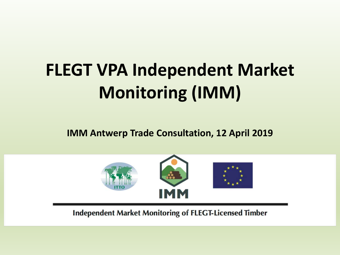# **FLEGT VPA Independent Market Monitoring (IMM)**

**IMM Antwerp Trade Consultation, 12 April 2019**



**Independent Market Monitoring of FLEGT-Licensed Timber**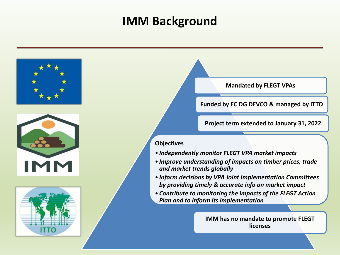### **IMM Background**







**Mandated by FLEGT VPAs**

**Funded by EC DG DEVCO & managed by ITTO**

**Project term extended to January 31, 2022**

#### **Objectives**

- *Independently monitor FLEGT VPA market impacts*
- *Improve understanding of impacts on timber prices, trade and market trends globally*
- *Inform decisions by VPA Joint Implementation Committees by providing timely & accurate info on market impact*
- *Contribute to monitoring the impacts of the FLEGT Action Plan and to inform its implementation*

**IMM has no mandate to promote FLEGT licenses**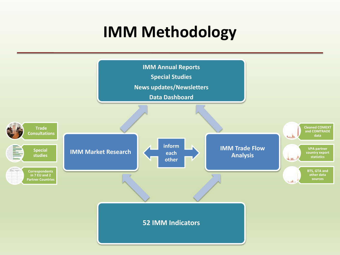# **IMM Methodology**

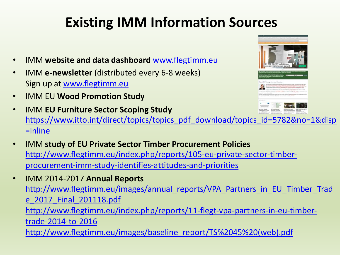### **Existing IMM Information Sources**

- IMM **website and data dashboard** [www.flegtimm.eu](http://www.flegtimm.eu/)
- **IMM e-newsletter** (distributed every 6-8 weeks) Sign up at [www.flegtimm.eu](http://www.flegtimm.eu/)
- IMM EU **Wood Promotion Study**
- IMM **EU Furniture Sector Scoping Study**  [https://www.itto.int/direct/topics/topics\\_pdf\\_download/topics\\_id=5782&no=1&disp](https://www.itto.int/direct/topics/topics_pdf_download/topics_id=5782&no=1&disp=inline) =inline
- IMM **study of EU Private Sector Timber Procurement Policies** [http://www.flegtimm.eu/index.php/reports/105-eu-private-sector-timber](http://www.flegtimm.eu/index.php/reports/105-eu-private-sector-timber-procurement-imm-study-identifies-attitudes-and-priorities)procurement-imm-study-identifies-attitudes-and-priorities
- IMM 2014-2017 **Annual Reports** [http://www.flegtimm.eu/images/annual\\_reports/VPA\\_Partners\\_in\\_EU\\_Timber\\_Trad](http://www.flegtimm.eu/images/annual_reports/VPA_Partners_in_EU_Timber_Trade_2017_Final_201118.pdf) e\_2017\_Final\_201118.pdf [http://www.flegtimm.eu/index.php/reports/11-flegt-vpa-partners-in-eu-timber](http://www.flegtimm.eu/index.php/reports/11-flegt-vpa-partners-in-eu-timber-trade-2014-to-2016)trade-2014-to-2016 [http://www.flegtimm.eu/images/baseline\\_report/TS%2045%20\(web\).pdf](http://www.flegtimm.eu/images/baseline_report/TS%2045%20(web).pdf)

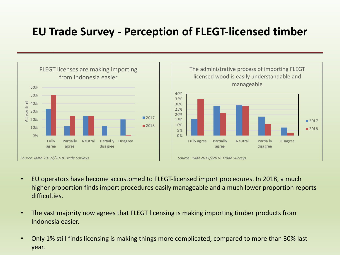#### **EU Trade Survey - Perception of FLEGT-licensed timber**





- EU operators have become accustomed to FLEGT-licensed import procedures. In 2018, a much higher proportion finds import procedures easily manageable and a much lower proportion reports difficulties.
- The vast majority now agrees that FLEGT licensing is making importing timber products from Indonesia easier.
- Only 1% still finds licensing is making things more complicated, compared to more than 30% last year.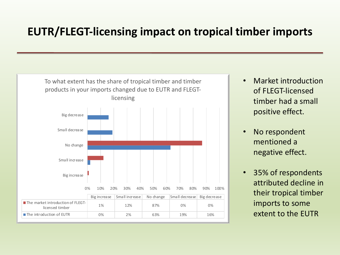#### **EUTR/FLEGT-licensing impact on tropical timber imports**



- Market introduction of FLEGT-licensed timber had a small positive effect.
- No respondent mentioned a negative effect.
- 35% of respondents attributed decline in their tropical timber imports to some extent to the EUTR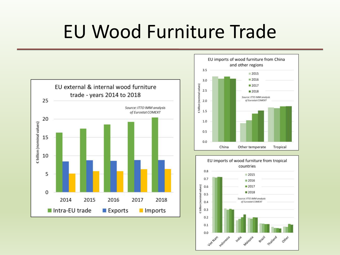# EU Wood Furniture Trade





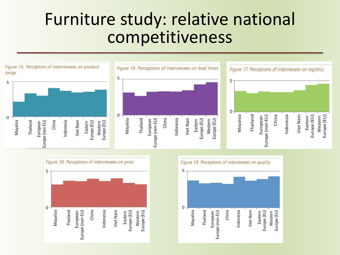## Furniture study: relative national competitiveness





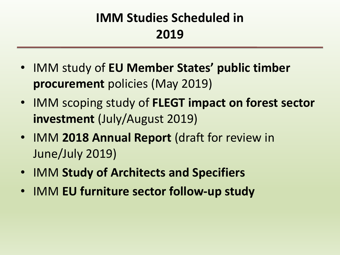### **IMM Studies Scheduled in 2019**

- IMM study of **EU Member States' public timber procurement** policies (May 2019)
- IMM scoping study of **FLEGT impact on forest sector investment** (July/August 2019)
- IMM **2018 Annual Report** (draft for review in June/July 2019)
- IMM **Study of Architects and Specifiers**
- IMM **EU furniture sector follow-up study**